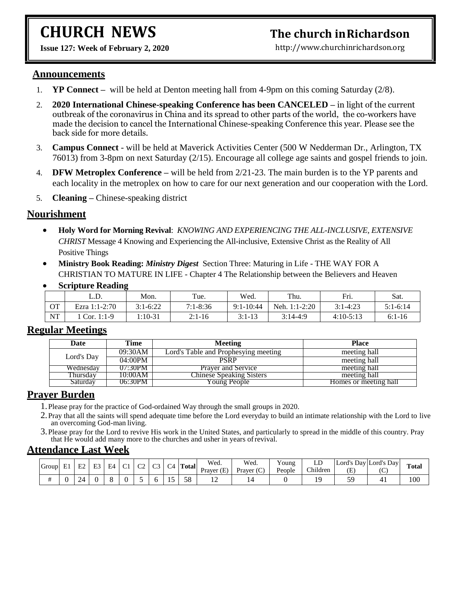# **CHURCH NEWS**

## **The church inRichardson**

**Issue 127: Week of February 2, 2020** 

[http://www.churchinrichardson.org](http://www.churchinrichardson.org/)

#### **Announcements**

- 1. **YP Connect –** will be held at Denton meeting hall from 4-9pm on this coming Saturday (2/8).
- 2. **2020 International Chinese-speaking Conference has been CANCELED –** in light of the current outbreak of the coronavirus in China and its spread to other parts of the world, the co-workers have made the decision to cancel the International Chinese-speaking Conference this year. Please see the back side for more details.
- 3. **Campus Connect**  will be held at Maverick Activities Center (500 W Nedderman Dr., Arlington, TX 76013) from 3-8pm on next Saturday (2/15). Encourage all college age saints and gospel friends to join.
- 4. **DFW Metroplex Conference –** will be held from 2/21-23. The main burden is to the YP parents and each locality in the metroplex on how to care for our next generation and our cooperation with the Lord.
- 5. **Cleaning –** Chinese-speaking district

#### **Nourishment**

- **Holy Word for Morning Revival**: *KNOWING AND EXPERIENCING THE ALL-INCLUSIVE, EXTENSIVE CHRIST* Message 4 Knowing and Experiencing the All-inclusive, Extensive Christ as the Reality of All Positive Things
- **Ministry Book Reading:** *Ministry Digest*Section Three: Maturing in Life THE WAY FOR A CHRISTIAN TO MATURE IN LIFE - Chapter 4 The Relationship between the Believers and Heaven
- **Scripture Reading**

|           | L.D.          | Mon.       | Tue.         | Wed.          | Thu.          | Fri.         | Sat.       |
|-----------|---------------|------------|--------------|---------------|---------------|--------------|------------|
| OТ        | Ezra 1:1-2:70 | $3:1-6:22$ | $7:1 - 8:36$ | $9:1 - 10:44$ | Neh. 1:1-2:20 | $3:1 - 4:23$ | $5:1-6:14$ |
| <b>NT</b> | Cor. $1:1-9$  | $:10-31$   | 2:1-16       | $3:1-13$      | $3:14-4:9$    | $4:10-5:13$  | $6:1-16$   |

#### **Regular Meetings**

| Date       | Time    | <b>Meeting</b>                       | <b>Place</b>          |
|------------|---------|--------------------------------------|-----------------------|
|            | 09:30AM | Lord's Table and Prophesying meeting | meeting hall          |
| Lord's Day | 04:00PM | <b>PSRP</b>                          | meeting hall          |
| Wednesday  | 07:30PM | <b>Prayer and Service</b>            | meeting hall          |
| I'hursday  | 10:00AM | <b>Chinese Speaking Sisters</b>      | meeting hall          |
| Saturday   | 06:30PM | Young People                         | Homes or meeting hall |

#### **Prayer Burden**

- 1.Please pray for the practice of God-ordained Way through the small groups in 2020.
- 2.Pray that all the saints will spend adequate time before the Lord everyday to build an intimate relationship with the Lord to live an overcoming God-man living.
- 3.Please pray for the Lord to revive His work in the United States, and particularly to spread in the middle of this country. Pray that He would add many more to the churches and usher in years ofrevival.

#### **Attendance Last Week**

| $\sim$<br>Group | E1 | $\mathbf{a}$<br>∸∸ | E <sub>3</sub> | HД<br>∽ | $\sim$<br>ິ | $\sim$<br>ັ | $\cap$<br>ت | C <sub>4</sub> | Total            | Wed.<br>Œ<br>Prayer | Wea.<br>Prayer $(C)$ | 'oung<br>People | ப<br>Children | Lord's<br>Œ | Day Lord's Day<br>◡ | <b>Total</b> |
|-----------------|----|--------------------|----------------|---------|-------------|-------------|-------------|----------------|------------------|---------------------|----------------------|-----------------|---------------|-------------|---------------------|--------------|
|                 |    | $\Delta$           |                |         |             |             |             |                | $\epsilon$<br>υo | . .                 |                      |                 |               |             | . .                 | 100          |